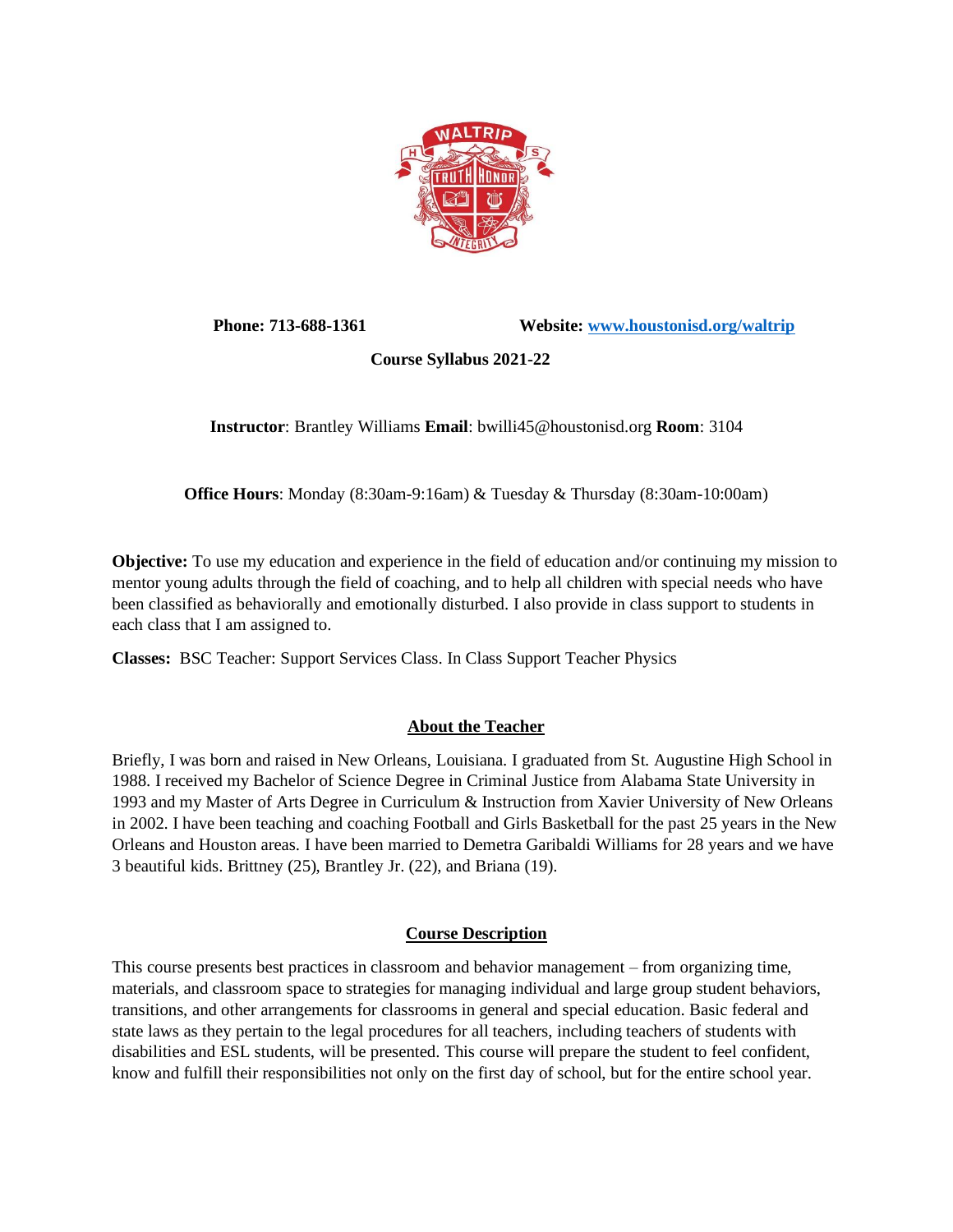

Phone: 713-688-1361 Website: www.houstonisd.org/waltrip

 **Course Syllabus 2021-22**

**Instructor**: Brantley Williams **Email**: bwilli45@houstonisd.org **Room**: 3104

**Office Hours**: Monday (8:30am-9:16am) & Tuesday & Thursday (8:30am-10:00am)

**Objective:** To use my education and experience in the field of education and/or continuing my mission to mentor young adults through the field of coaching, and to help all children with special needs who have been classified as behaviorally and emotionally disturbed. I also provide in class support to students in each class that I am assigned to.

**Classes:** BSC Teacher: Support Services Class. In Class Support Teacher Physics

# **About the Teacher**

Briefly, I was born and raised in New Orleans, Louisiana. I graduated from St. Augustine High School in 1988. I received my Bachelor of Science Degree in Criminal Justice from Alabama State University in 1993 and my Master of Arts Degree in Curriculum & Instruction from Xavier University of New Orleans in 2002. I have been teaching and coaching Football and Girls Basketball for the past 25 years in the New Orleans and Houston areas. I have been married to Demetra Garibaldi Williams for 28 years and we have 3 beautiful kids. Brittney (25), Brantley Jr. (22), and Briana (19).

# **Course Description**

This course presents best practices in classroom and behavior management – from organizing time, materials, and classroom space to strategies for managing individual and large group student behaviors, transitions, and other arrangements for classrooms in general and special education. Basic federal and state laws as they pertain to the legal procedures for all teachers, including teachers of students with disabilities and ESL students, will be presented. This course will prepare the student to feel confident, know and fulfill their responsibilities not only on the first day of school, but for the entire school year.